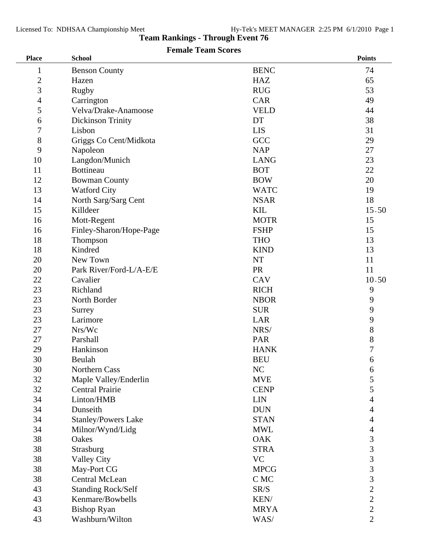## **Team Rankings - Through Event 76 Female Team Scores**

| <b>Place</b>   | <b>School</b>              |             | <b>Points</b>  |
|----------------|----------------------------|-------------|----------------|
| 1              | <b>Benson County</b>       | <b>BENC</b> | 74             |
| $\overline{2}$ | Hazen                      | <b>HAZ</b>  | 65             |
| 3              | Rugby                      | <b>RUG</b>  | 53             |
| 4              | Carrington                 | <b>CAR</b>  | 49             |
| 5              | Velva/Drake-Anamoose       | <b>VELD</b> | 44             |
| 6              | <b>Dickinson Trinity</b>   | DT          | 38             |
| 7              | Lisbon                     | <b>LIS</b>  | 31             |
| $8\,$          | Griggs Co Cent/Midkota     | GCC         | 29             |
| 9              | Napoleon                   | <b>NAP</b>  | 27             |
| 10             | Langdon/Munich             | <b>LANG</b> | 23             |
| 11             | <b>Bottineau</b>           | <b>BOT</b>  | 22             |
| 12             | <b>Bowman County</b>       | <b>BOW</b>  | 20             |
| 13             | <b>Watford City</b>        | <b>WATC</b> | 19             |
| 14             | North Sarg/Sarg Cent       | <b>NSAR</b> | 18             |
| 15             | Killdeer                   | <b>KIL</b>  | 15.50          |
| 16             | Mott-Regent                | <b>MOTR</b> | 15             |
| 16             | Finley-Sharon/Hope-Page    | <b>FSHP</b> | 15             |
| 18             | Thompson                   | <b>THO</b>  | 13             |
| 18             | Kindred                    | <b>KIND</b> | 13             |
| 20             | New Town                   | <b>NT</b>   | 11             |
| 20             | Park River/Ford-L/A-E/E    | <b>PR</b>   | 11             |
| 22             | Cavalier                   | CAV         | 10.50          |
| 23             | Richland                   | <b>RICH</b> | 9              |
| 23             | North Border               | <b>NBOR</b> | 9              |
| 23             | Surrey                     | <b>SUR</b>  | 9              |
| 23             | Larimore                   | LAR         | 9              |
| 27             | Nrs/Wc                     | NRS/        | $8\,$          |
| 27             | Parshall                   | PAR         | 8              |
| 29             | Hankinson                  | <b>HANK</b> | $\overline{7}$ |
| 30             | Beulah                     | <b>BEU</b>  | 6              |
| 30             | Northern Cass              | NC          | 6              |
| 32             | Maple Valley/Enderlin      | <b>MVE</b>  | $\mathfrak{S}$ |
| 32             | <b>Central Prairie</b>     | <b>CENP</b> | 5              |
| 34             | Linton/HMB                 | <b>LIN</b>  | 4              |
| 34             | Dunseith                   | <b>DUN</b>  | 4              |
| 34             | <b>Stanley/Powers Lake</b> | <b>STAN</b> | 4              |
| 34             | Milnor/Wynd/Lidg           | <b>MWL</b>  | 4              |
| 38             | Oakes                      | <b>OAK</b>  | 3              |
| 38             | Strasburg                  | <b>STRA</b> | 3              |
| 38             | <b>Valley City</b>         | <b>VC</b>   | $\overline{3}$ |
| 38             | May-Port CG                | <b>MPCG</b> | $\overline{3}$ |
| 38             | Central McLean             | C MC        | $\overline{3}$ |
| 43             | <b>Standing Rock/Self</b>  | SR/S        | $\overline{2}$ |
| 43             | Kenmare/Bowbells           | KEN/        | $\overline{2}$ |
| 43             | <b>Bishop Ryan</b>         | <b>MRYA</b> | $\overline{2}$ |
| 43             | Washburn/Wilton            | WAS/        | $\overline{2}$ |